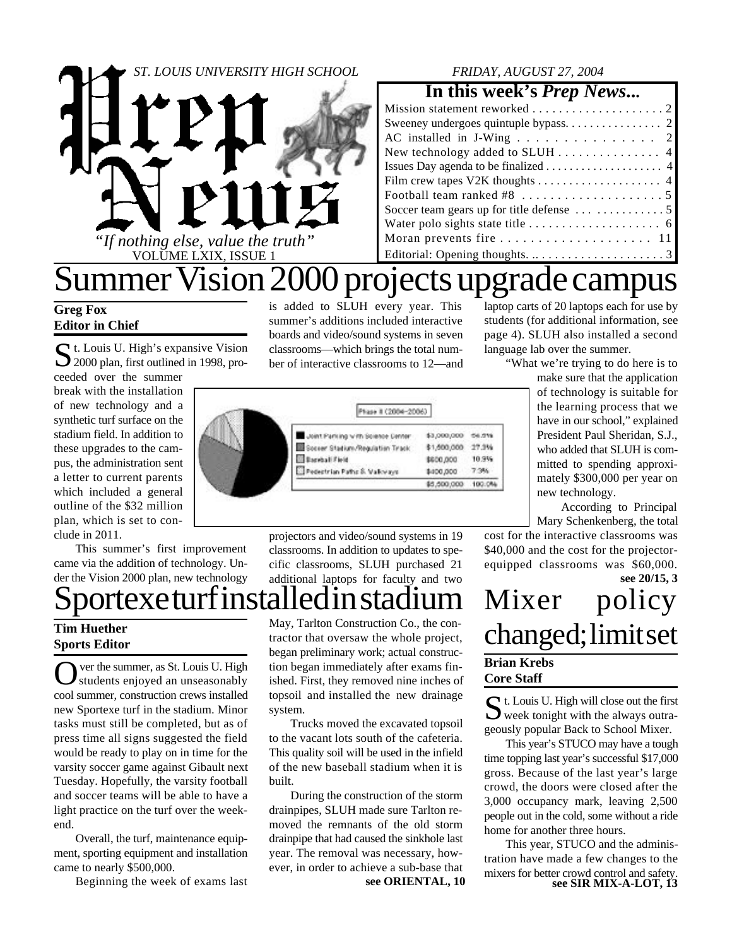

### *FRIDAY, AUGUST 27, 2004*

### **In this week's** *Prep News***...**

| AC installed in J-Wing 2                                                  |
|---------------------------------------------------------------------------|
| New technology added to SLUH $\ldots \ldots \ldots \ldots$ 4              |
| Issues Day agenda to be finalized $\dots \dots \dots \dots \dots \dots$ 4 |
|                                                                           |
| Football team ranked #8 $\dots \dots \dots \dots \dots \dots \dots 5$     |
| Soccer team gears up for title defense $\dots \dots \dots \dots \dots$    |
|                                                                           |
|                                                                           |
| Editorial: Opening thoughts. 3                                            |

## Summer Vision 2000 projects upgrade campus is added to SLUH every year. This

summer's additions included interactive boards and video/sound systems in seven classrooms—which brings the total number of interactive classrooms to 12—and

### **Greg Fox Editor in Chief**

St. Louis U. High's expansive Vision<br>2000 plan, first outlined in 1998, pro-2000 plan, first outlined in 1998, proceeded over the summer

break with the installation of new technology and a synthetic turf surface on the stadium field. In addition to these upgrades to the campus, the administration sent a letter to current parents which included a general outline of the \$32 million plan, which is set to conclude in 2011.

This summer's first improvement came via the addition of technology. Under the Vision 2000 plan, new technology

## texe turf installed in stad

### **Tim Huether Sports Editor**

O ver the summer, as St. Louis U. High students enjoyed an unseasonably cool summer, construction crews installed new Sportexe turf in the stadium. Minor tasks must still be completed, but as of press time all signs suggested the field would be ready to play on in time for the varsity soccer game against Gibault next Tuesday. Hopefully, the varsity football and soccer teams will be able to have a light practice on the turf over the weekend.

Overall, the turf, maintenance equipment, sporting equipment and installation came to nearly \$500,000.

Beginning the week of exams last

May, Tarlton Construction Co., the contractor that oversaw the whole project, began preliminary work; actual construction began immediately after exams finished. First, they removed nine inches of topsoil and installed the new drainage system.

Trucks moved the excavated topsoil to the vacant lots south of the cafeteria. This quality soil will be used in the infield of the new baseball stadium when it is built.

**see ORIENTAL, 10** During the construction of the storm drainpipes, SLUH made sure Tarlton removed the remnants of the old storm drainpipe that had caused the sinkhole last year. The removal was necessary, however, in order to achieve a sub-base that

laptop carts of 20 laptops each for use by students (for additional information, see page 4). SLUH also installed a second language lab over the summer.

"What we're trying to do here is to

make sure that the application of technology is suitable for the learning process that we have in our school," explained President Paul Sheridan, S.J., who added that SLUH is committed to spending approximately \$300,000 per year on

According to Principal Mary Schenkenberg, the total

Phase II (2004-2006) Joint Parking with Science Center \$3,000,000 54.9% Societ Station/Regulation Track \$1,600,000 27.3% **Bandali Field** 10.9% \$600,000 Pedechrian Paths S. Mallowave 7.3% \$400,000 600,000,000 100.0%

> projectors and video/sound systems in 19 classrooms. In addition to updates to specific classrooms, SLUH purchased 21 additional laptops for faculty and two

**see 20/15, 3** equipped classrooms was \$60,000. Mixer policy changed; limit set

new technology.

cost for the interactive classrooms was \$40,000 and the cost for the projector-

### **Brian Krebs Core Staff**

St. Louis U. High will close out the first<br>week tonight with the always outra- $\sum$  week tonight with the always outrageously popular Back to School Mixer.

This year's STUCO may have a tough time topping last year's successful \$17,000 gross. Because of the last year's large crowd, the doors were closed after the 3,000 occupancy mark, leaving 2,500 people out in the cold, some without a ride home for another three hours.

**see SIR MIX-A-LOT, 13** This year, STUCO and the administration have made a few changes to the mixers for better crowd control and safety.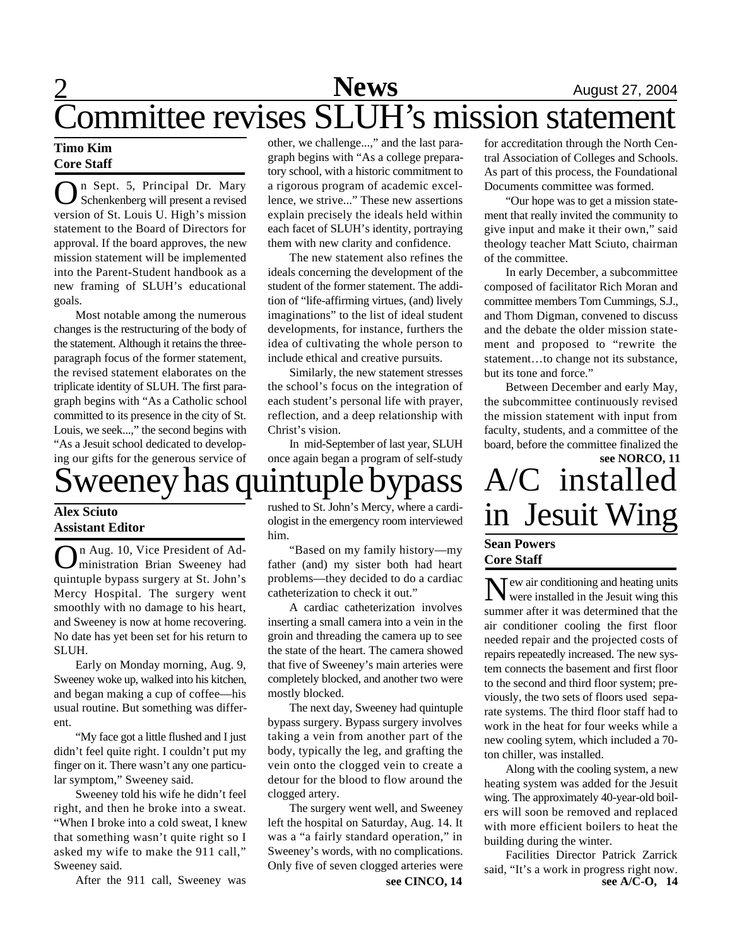### 2 **Sports News** August 27, 2004 **News** Committee revises SLUH's mission statement

### **Timo Kim Core Staff**

O n Sept. 5, Principal Dr. Mary Schenkenberg will present a revised version of St. Louis U. High's mission statement to the Board of Directors for approval. If the board approves, the new mission statement will be implemented into the Parent-Student handbook as a new framing of SLUH's educational goals.

Most notable among the numerous changes is the restructuring of the body of the statement. Although it retains the threeparagraph focus of the former statement, the revised statement elaborates on the triplicate identity of SLUH. The first paragraph begins with "As a Catholic school committed to its presence in the city of St. Louis, we seek...," the second begins with "As a Jesuit school dedicated to developing our gifts for the generous service of

other, we challenge...," and the last paragraph begins with "As a college preparatory school, with a historic commitment to a rigorous program of academic excellence, we strive..." These new assertions explain precisely the ideals held within each facet of SLUH's identity, portraying them with new clarity and confidence.

The new statement also refines the ideals concerning the development of the student of the former statement. The addition of "life-affirming virtues, (and) lively imaginations" to the list of ideal student developments, for instance, furthers the idea of cultivating the whole person to include ethical and creative pursuits.

Similarly, the new statement stresses the school's focus on the integration of each student's personal life with prayer, reflection, and a deep relationship with Christ's vision.

In mid-September of last year, SLUH once again began a program of self-study

## weeney has quint

### **Alex Sciuto Assistant Editor**

**O**n Aug. 10, Vice President of Ad-<br>quintuple bypass surgery at St. John's n Aug. 10, Vice President of Administration Brian Sweeney had Mercy Hospital. The surgery went smoothly with no damage to his heart, and Sweeney is now at home recovering. No date has yet been set for his return to SLUH.

Early on Monday morning, Aug. 9, Sweeney woke up, walked into his kitchen, and began making a cup of coffee—his usual routine. But something was different.

"My face got a little flushed and I just didn't feel quite right. I couldn't put my finger on it. There wasn't any one particular symptom," Sweeney said.

Sweeney told his wife he didn't feel right, and then he broke into a sweat. "When I broke into a cold sweat, I knew that something wasn't quite right so I asked my wife to make the 911 call," Sweeney said.

After the 911 call, Sweeney was

rushed to St. John's Mercy, where a cardiologist in the emergency room interviewed him.

"Based on my family history—my father (and) my sister both had heart problems—they decided to do a cardiac catheterization to check it out."

A cardiac catheterization involves inserting a small camera into a vein in the groin and threading the camera up to see the state of the heart. The camera showed that five of Sweeney's main arteries were completely blocked, and another two were mostly blocked.

The next day, Sweeney had quintuple bypass surgery. Bypass surgery involves taking a vein from another part of the body, typically the leg, and grafting the vein onto the clogged vein to create a detour for the blood to flow around the clogged artery.

**see CINCO, 14** The surgery went well, and Sweeney left the hospital on Saturday, Aug. 14. It was a "a fairly standard operation," in Sweeney's words, with no complications. Only five of seven clogged arteries were

for accreditation through the North Central Association of Colleges and Schools. As part of this process, the Foundational Documents committee was formed.

"Our hope was to get a mission statement that really invited the community to give input and make it their own," said theology teacher Matt Sciuto, chairman of the committee.

In early December, a subcommittee composed of facilitator Rich Moran and committee members Tom Cummings, S.J., and Thom Digman, convened to discuss and the debate the older mission statement and proposed to "rewrite the statement…to change not its substance, but its tone and force."

Between December and early May, the subcommittee continuously revised the mission statement with input from faculty, students, and a committee of the board, before the committee finalized the

## **see NORCO, 11** A/C installed in Jesuit Wing

### **Sean Powers Core Staff**

 $N$  ew air conditioning and heating units<br>were installed in the Jesuit wing this  $\mathsf{T}$  ew air conditioning and heating units summer after it was determined that the air conditioner cooling the first floor needed repair and the projected costs of repairs repeatedly increased. The new system connects the basement and first floor to the second and third floor system; previously, the two sets of floors used separate systems. The third floor staff had to work in the heat for four weeks while a new cooling sytem, which included a 70 ton chiller, was installed.

Along with the cooling system, a new heating system was added for the Jesuit wing. The approximately 40-year-old boilers will soon be removed and replaced with more efficient boilers to heat the building during the winter.

**see A/C-O, 14** Facilities Director Patrick Zarrick said, "It's a work in progress right now.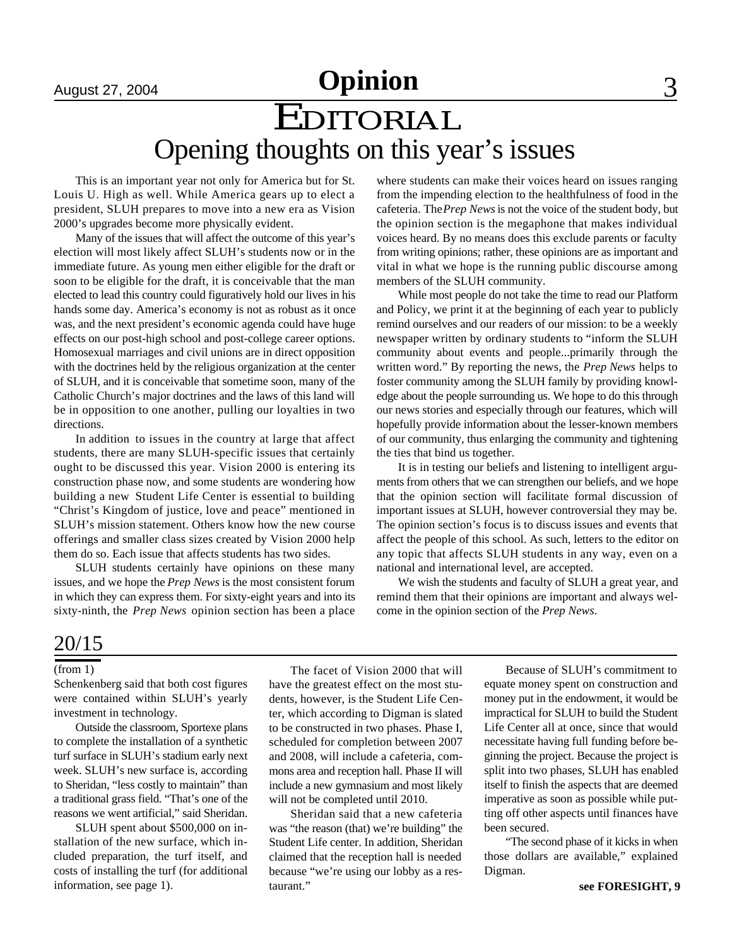## August 27, 2004 **Opinion** 3

## EDITORIAL Opening thoughts on this year's issues

This is an important year not only for America but for St. Louis U. High as well. While America gears up to elect a president, SLUH prepares to move into a new era as Vision 2000's upgrades become more physically evident.

Many of the issues that will affect the outcome of this year's election will most likely affect SLUH's students now or in the immediate future. As young men either eligible for the draft or soon to be eligible for the draft, it is conceivable that the man elected to lead this country could figuratively hold our lives in his hands some day. America's economy is not as robust as it once was, and the next president's economic agenda could have huge effects on our post-high school and post-college career options. Homosexual marriages and civil unions are in direct opposition with the doctrines held by the religious organization at the center of SLUH, and it is conceivable that sometime soon, many of the Catholic Church's major doctrines and the laws of this land will be in opposition to one another, pulling our loyalties in two directions.

In addition to issues in the country at large that affect students, there are many SLUH-specific issues that certainly ought to be discussed this year. Vision 2000 is entering its construction phase now, and some students are wondering how building a new Student Life Center is essential to building "Christ's Kingdom of justice, love and peace" mentioned in SLUH's mission statement. Others know how the new course offerings and smaller class sizes created by Vision 2000 help them do so. Each issue that affects students has two sides.

SLUH students certainly have opinions on these many issues, and we hope the *Prep News* is the most consistent forum in which they can express them. For sixty-eight years and into its sixty-ninth, the *Prep News* opinion section has been a place where students can make their voices heard on issues ranging from the impending election to the healthfulness of food in the cafeteria. The *Prep News* is not the voice of the student body, but the opinion section is the megaphone that makes individual voices heard. By no means does this exclude parents or faculty from writing opinions; rather, these opinions are as important and vital in what we hope is the running public discourse among members of the SLUH community.

While most people do not take the time to read our Platform and Policy, we print it at the beginning of each year to publicly remind ourselves and our readers of our mission: to be a weekly newspaper written by ordinary students to "inform the SLUH community about events and people...primarily through the written word." By reporting the news, the *Prep News* helps to foster community among the SLUH family by providing knowledge about the people surrounding us. We hope to do this through our news stories and especially through our features, which will hopefully provide information about the lesser-known members of our community, thus enlarging the community and tightening the ties that bind us together.

It is in testing our beliefs and listening to intelligent arguments from others that we can strengthen our beliefs, and we hope that the opinion section will facilitate formal discussion of important issues at SLUH, however controversial they may be. The opinion section's focus is to discuss issues and events that affect the people of this school. As such, letters to the editor on any topic that affects SLUH students in any way, even on a national and international level, are accepted.

We wish the students and faculty of SLUH a great year, and remind them that their opinions are important and always welcome in the opinion section of the *Prep News*.

## $\frac{20/15}{20}$

#### (from 1)

Schenkenberg said that both cost figures were contained within SLUH's yearly investment in technology.

Outside the classroom, Sportexe plans to complete the installation of a synthetic turf surface in SLUH's stadium early next week. SLUH's new surface is, according to Sheridan, "less costly to maintain" than a traditional grass field. "That's one of the reasons we went artificial," said Sheridan.

SLUH spent about \$500,000 on installation of the new surface, which included preparation, the turf itself, and costs of installing the turf (for additional information, see page 1).

The facet of Vision 2000 that will have the greatest effect on the most students, however, is the Student Life Center, which according to Digman is slated to be constructed in two phases. Phase I, scheduled for completion between 2007 and 2008, will include a cafeteria, commons area and reception hall. Phase II will include a new gymnasium and most likely will not be completed until 2010.

Sheridan said that a new cafeteria was "the reason (that) we're building" the Student Life center. In addition, Sheridan claimed that the reception hall is needed because "we're using our lobby as a restaurant."

Because of SLUH's commitment to equate money spent on construction and money put in the endowment, it would be impractical for SLUH to build the Student Life Center all at once, since that would necessitate having full funding before beginning the project. Because the project is split into two phases, SLUH has enabled itself to finish the aspects that are deemed imperative as soon as possible while putting off other aspects until finances have been secured.

"The second phase of it kicks in when those dollars are available," explained Digman.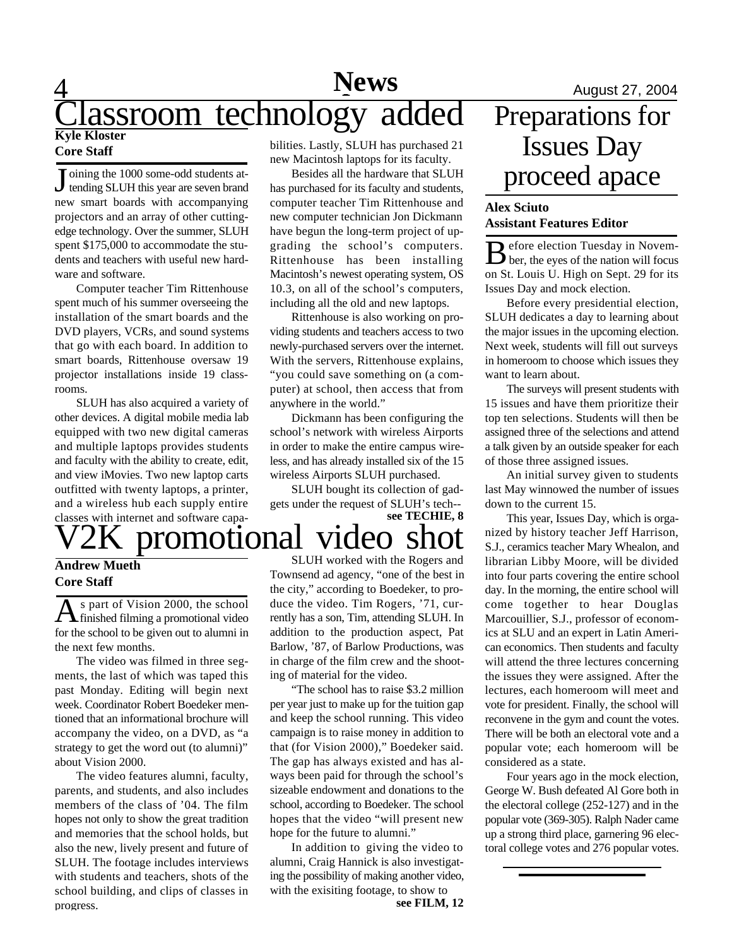### $\overline{4}$ **News**<br> **August 27, 2004**<br> **Space 27, 2004**<br> **Space 27, 2004**<br> **Preparations for** assroom technology **Kyle Kloster Core Staff** bilities. Lastly, SLUH has purchased 21

J oining the 1000 some-odd students attending SLUH this year are seven brand new smart boards with accompanying projectors and an array of other cuttingedge technology. Over the summer, SLUH spent \$175,000 to accommodate the students and teachers with useful new hardware and software.

Computer teacher Tim Rittenhouse spent much of his summer overseeing the installation of the smart boards and the DVD players, VCRs, and sound systems that go with each board. In addition to smart boards, Rittenhouse oversaw 19 projector installations inside 19 classrooms.

SLUH has also acquired a variety of other devices. A digital mobile media lab equipped with two new digital cameras and multiple laptops provides students and faculty with the ability to create, edit, and view iMovies. Two new laptop carts outfitted with twenty laptops, a printer, and a wireless hub each supply entire classes with internet and software capa-

## promotional video

### **Andrew Mueth Core Staff**

As part of Vision 2000, the school<br>
finished filming a promotional video s part of Vision 2000, the school for the school to be given out to alumni in the next few months.

The video was filmed in three segments, the last of which was taped this past Monday. Editing will begin next week. Coordinator Robert Boedeker mentioned that an informational brochure will accompany the video, on a DVD, as "a strategy to get the word out (to alumni)" about Vision 2000.

The video features alumni, faculty, parents, and students, and also includes members of the class of '04. The film hopes not only to show the great tradition and memories that the school holds, but also the new, lively present and future of SLUH. The footage includes interviews with students and teachers, shots of the school building, and clips of classes in progress.

new Macintosh laptops for its faculty.

Besides all the hardware that SLUH has purchased for its faculty and students, computer teacher Tim Rittenhouse and new computer technician Jon Dickmann have begun the long-term project of upgrading the school's computers. Rittenhouse has been installing Macintosh's newest operating system, OS 10.3, on all of the school's computers, including all the old and new laptops.

Rittenhouse is also working on providing students and teachers access to two newly-purchased servers over the internet. With the servers, Rittenhouse explains, "you could save something on (a computer) at school, then access that from anywhere in the world."

Dickmann has been configuring the school's network with wireless Airports in order to make the entire campus wireless, and has already installed six of the 15 wireless Airports SLUH purchased.

SLUH bought its collection of gadgets under the request of SLUH's tech--

**see TECHIE, 8**

SLUH worked with the Rogers and Townsend ad agency, "one of the best in the city," according to Boedeker, to produce the video. Tim Rogers, '71, currently has a son, Tim, attending SLUH. In addition to the production aspect, Pat Barlow, '87, of Barlow Productions, was in charge of the film crew and the shooting of material for the video.

"The school has to raise \$3.2 million per year just to make up for the tuition gap and keep the school running. This video campaign is to raise money in addition to that (for Vision 2000)," Boedeker said. The gap has always existed and has always been paid for through the school's sizeable endowment and donations to the school, according to Boedeker. The school hopes that the video "will present new hope for the future to alumni."

In addition to giving the video to alumni, Craig Hannick is also investigating the possibility of making another video, with the exisiting footage, to show to

# Issues Day proceed apace

### **Alex Sciuto Assistant Features Editor**

B efore election Tuesday in Novem-<br>ber, the eyes of the nation will focus  $\bigcap$  efore election Tuesday in Novemon St. Louis U. High on Sept. 29 for its Issues Day and mock election.

Before every presidential election, SLUH dedicates a day to learning about the major issues in the upcoming election. Next week, students will fill out surveys in homeroom to choose which issues they want to learn about.

The surveys will present students with 15 issues and have them prioritize their top ten selections. Students will then be assigned three of the selections and attend a talk given by an outside speaker for each of those three assigned issues.

An initial survey given to students last May winnowed the number of issues down to the current 15.

This year, Issues Day, which is organized by history teacher Jeff Harrison, S.J., ceramics teacher Mary Whealon, and librarian Libby Moore, will be divided into four parts covering the entire school day. In the morning, the entire school will come together to hear Douglas Marcouillier, S.J., professor of economics at SLU and an expert in Latin American economics. Then students and faculty will attend the three lectures concerning the issues they were assigned. After the lectures, each homeroom will meet and vote for president. Finally, the school will reconvene in the gym and count the votes. There will be both an electoral vote and a popular vote; each homeroom will be considered as a state.

Four years ago in the mock election, George W. Bush defeated Al Gore both in the electoral college (252-127) and in the popular vote (369-305). Ralph Nader came up a strong third place, garnering 96 electoral college votes and 276 popular votes.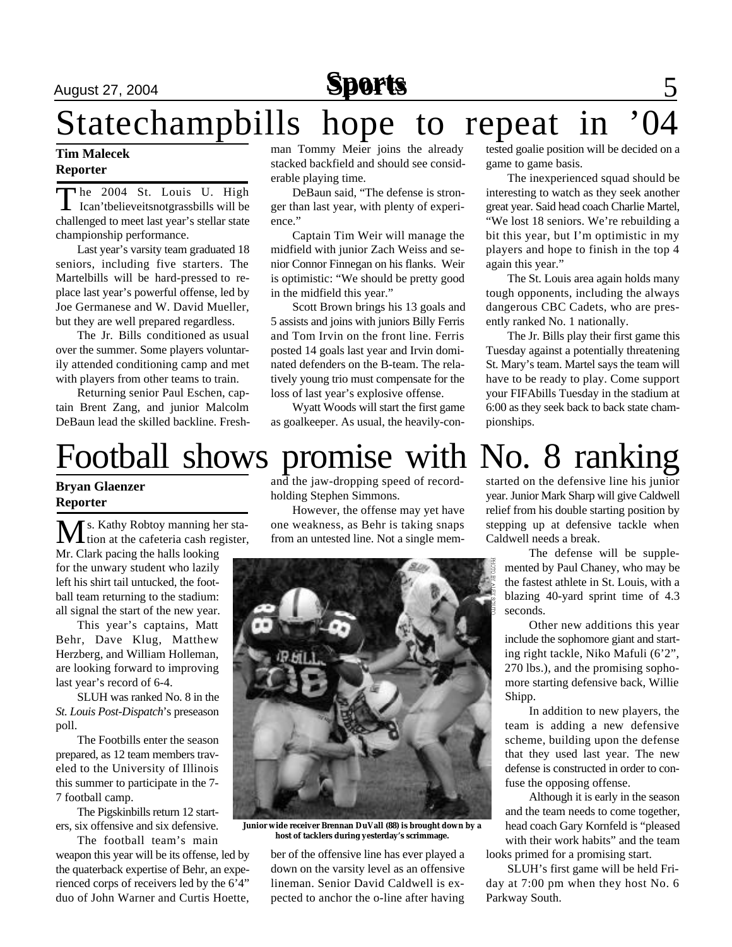## August 27, 2004 **Sports** 5

# Statechampbills hope to repeat in

### **Tim Malecek Reporter**

The 2004 St. Louis U. High<br>Ican'tbelieveitsnotgrassbills will be he 2004 St. Louis U. High challenged to meet last year's stellar state championship performance.

Last year's varsity team graduated 18 seniors, including five starters. The Martelbills will be hard-pressed to replace last year's powerful offense, led by Joe Germanese and W. David Mueller, but they are well prepared regardless.

The Jr. Bills conditioned as usual over the summer. Some players voluntarily attended conditioning camp and met with players from other teams to train.

Returning senior Paul Eschen, captain Brent Zang, and junior Malcolm DeBaun lead the skilled backline. Freshman Tommy Meier joins the already stacked backfield and should see considerable playing time.

DeBaun said, "The defense is stronger than last year, with plenty of experience."

Captain Tim Weir will manage the midfield with junior Zach Weiss and senior Connor Finnegan on his flanks. Weir is optimistic: "We should be pretty good in the midfield this year."

Scott Brown brings his 13 goals and 5 assists and joins with juniors Billy Ferris and Tom Irvin on the front line. Ferris posted 14 goals last year and Irvin dominated defenders on the B-team. The relatively young trio must compensate for the loss of last year's explosive offense.

Wyatt Woods will start the first game as goalkeeper. As usual, the heavily-contested goalie position will be decided on a game to game basis.

The inexperienced squad should be interesting to watch as they seek another great year. Said head coach Charlie Martel, "We lost 18 seniors. We're rebuilding a bit this year, but I'm optimistic in my players and hope to finish in the top 4 again this year."

The St. Louis area again holds many tough opponents, including the always dangerous CBC Cadets, who are presently ranked No. 1 nationally.

The Jr. Bills play their first game this Tuesday against a potentially threatening St. Mary's team. Martel says the team will have to be ready to play. Come support your FIFAbills Tuesday in the stadium at 6:00 as they seek back to back state championships.

## Football shows promise with No. 8 ranking

### **Bryan Glaenzer Reporter**

Ms. Kathy Robtoy manning her sta-<br>tion at the cafeteria cash register, Mr. Clark pacing the halls looking for the unwary student who lazily left his shirt tail untucked, the football team returning to the stadium: all signal the start of the new year.

This year's captains, Matt Behr, Dave Klug, Matthew Herzberg, and William Holleman, are looking forward to improving last year's record of 6-4.

SLUH was ranked No. 8 in the *St. Louis Post-Dispatch*'s preseason poll.

The Footbills enter the season prepared, as 12 team members traveled to the University of Illinois this summer to participate in the 7- 7 football camp.

The Pigskinbills return 12 starters, six offensive and six defensive.

The football team's main weapon this year will be its offense, led by the quaterback expertise of Behr, an experienced corps of receivers led by the 6'4" duo of John Warner and Curtis Hoette,

and the jaw-dropping speed of recordholding Stephen Simmons.

However, the offense may yet have one weakness, as Behr is taking snaps from an untested line. Not a single mem-



**Junior wide receiver Brennan DuVall (88) is brought down by a host of tacklers during yesterday's scrimmage.**

ber of the offensive line has ever played a down on the varsity level as an offensive lineman. Senior David Caldwell is expected to anchor the o-line after having started on the defensive line his junior year. Junior Mark Sharp will give Caldwell relief from his double starting position by stepping up at defensive tackle when Caldwell needs a break.

> The defense will be supplemented by Paul Chaney, who may be the fastest athlete in St. Louis, with a blazing 40-yard sprint time of 4.3 seconds.

> Other new additions this year include the sophomore giant and starting right tackle, Niko Mafuli (6'2", 270 lbs.), and the promising sophomore starting defensive back, Willie Shipp.

> In addition to new players, the team is adding a new defensive scheme, building upon the defense that they used last year. The new defense is constructed in order to confuse the opposing offense.

Although it is early in the season and the team needs to come together, head coach Gary Kornfeld is "pleased with their work habits" and the team looks primed for a promising start.

SLUH's first game will be held Friday at 7:00 pm when they host No. 6 Parkway South.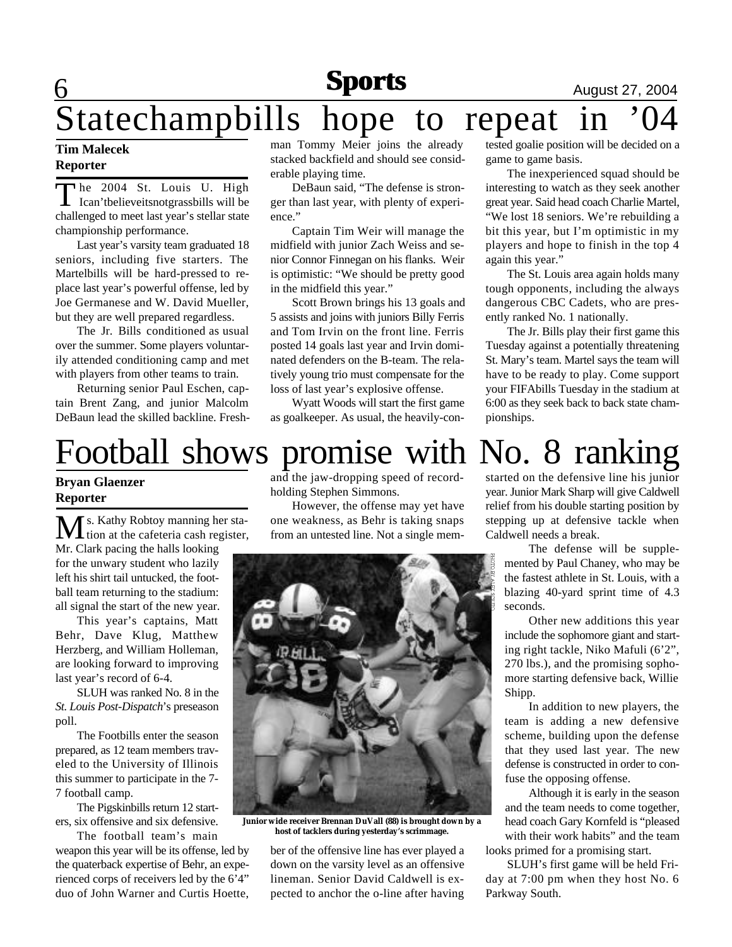## **Sports August 27, 2004**

## 6 Statechampbills hope to repeat in '04

### **Tim Malecek Reporter**

The 2004 St. Louis U. High<br>Ican'tbelieveitsnotgrassbills will be he 2004 St. Louis U. High challenged to meet last year's stellar state championship performance.

Last year's varsity team graduated 18 seniors, including five starters. The Martelbills will be hard-pressed to replace last year's powerful offense, led by Joe Germanese and W. David Mueller, but they are well prepared regardless.

The Jr. Bills conditioned as usual over the summer. Some players voluntarily attended conditioning camp and met with players from other teams to train.

Returning senior Paul Eschen, captain Brent Zang, and junior Malcolm DeBaun lead the skilled backline. Freshman Tommy Meier joins the already stacked backfield and should see considerable playing time.

DeBaun said, "The defense is stronger than last year, with plenty of experience."

Captain Tim Weir will manage the midfield with junior Zach Weiss and senior Connor Finnegan on his flanks. Weir is optimistic: "We should be pretty good in the midfield this year."

Scott Brown brings his 13 goals and 5 assists and joins with juniors Billy Ferris and Tom Irvin on the front line. Ferris posted 14 goals last year and Irvin dominated defenders on the B-team. The relatively young trio must compensate for the loss of last year's explosive offense.

Wyatt Woods will start the first game as goalkeeper. As usual, the heavily-con-

# Football shows promise with No. 8 ranking

### **Bryan Glaenzer Reporter**

Ms. Kathy Robtoy manning her sta-<br>tion at the cafeteria cash register, Mr. Clark pacing the halls looking for the unwary student who lazily left his shirt tail untucked, the football team returning to the stadium: all signal the start of the new year.

This year's captains, Matt Behr, Dave Klug, Matthew Herzberg, and William Holleman, are looking forward to improving last year's record of 6-4.

SLUH was ranked No. 8 in the *St. Louis Post-Dispatch*'s preseason poll.

The Footbills enter the season prepared, as 12 team members traveled to the University of Illinois this summer to participate in the 7- 7 football camp.

The Pigskinbills return 12 starters, six offensive and six defensive.

The football team's main weapon this year will be its offense, led by the quaterback expertise of Behr, an experienced corps of receivers led by the 6'4" duo of John Warner and Curtis Hoette,

and the jaw-dropping speed of recordholding Stephen Simmons.

However, the offense may yet have one weakness, as Behr is taking snaps from an untested line. Not a single mem-



**Junior wide receiver Brennan DuVall (88) is brought down by a host of tacklers during yesterday's scrimmage.**

ber of the offensive line has ever played a down on the varsity level as an offensive lineman. Senior David Caldwell is expected to anchor the o-line after having tested goalie position will be decided on a game to game basis.

The inexperienced squad should be interesting to watch as they seek another great year. Said head coach Charlie Martel, "We lost 18 seniors. We're rebuilding a bit this year, but I'm optimistic in my players and hope to finish in the top 4 again this year."

The St. Louis area again holds many tough opponents, including the always dangerous CBC Cadets, who are presently ranked No. 1 nationally.

The Jr. Bills play their first game this Tuesday against a potentially threatening St. Mary's team. Martel says the team will have to be ready to play. Come support your FIFAbills Tuesday in the stadium at 6:00 as they seek back to back state championships.

started on the defensive line his junior year. Junior Mark Sharp will give Caldwell relief from his double starting position by stepping up at defensive tackle when Caldwell needs a break.

> The defense will be supplemented by Paul Chaney, who may be the fastest athlete in St. Louis, with a blazing 40-yard sprint time of 4.3 seconds.

> Other new additions this year include the sophomore giant and starting right tackle, Niko Mafuli (6'2", 270 lbs.), and the promising sophomore starting defensive back, Willie Shipp.

> In addition to new players, the team is adding a new defensive scheme, building upon the defense that they used last year. The new defense is constructed in order to confuse the opposing offense.

Although it is early in the season and the team needs to come together, head coach Gary Kornfeld is "pleased with their work habits" and the team looks primed for a promising start.

SLUH's first game will be held Friday at 7:00 pm when they host No. 6 Parkway South.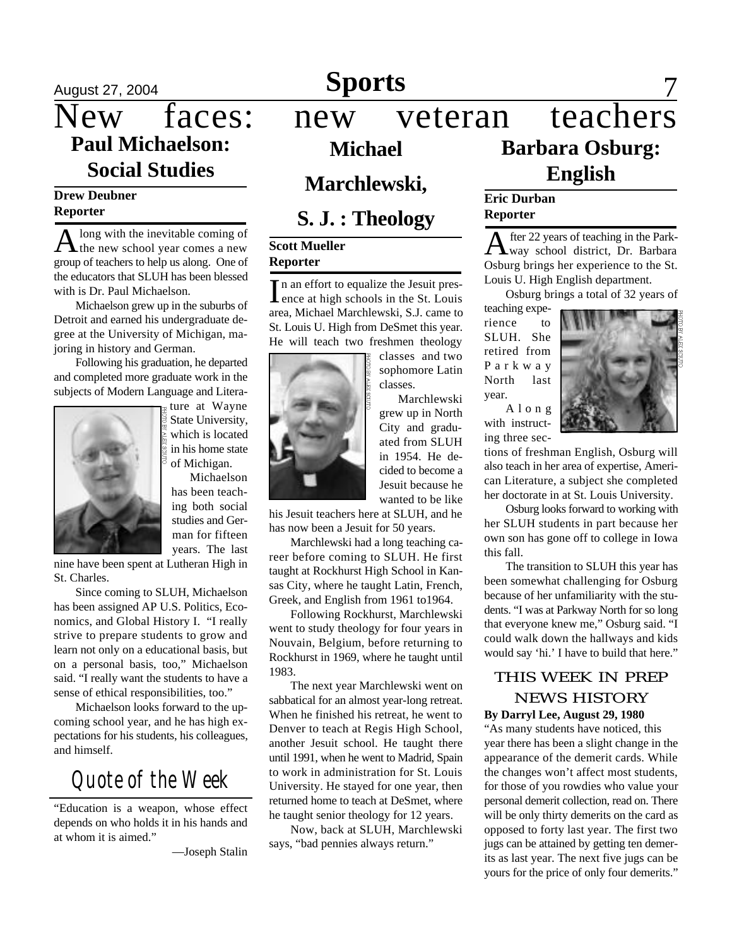# **Paul Michaelson: Social Studies**

### **Drew Deubner Reporter**

 $A<sup>long</sup>$  with the inevitable coming of the new school year comes a new long with the inevitable coming of group of teachers to help us along. One of the educators that SLUH has been blessed with is Dr. Paul Michaelson.

Michaelson grew up in the suburbs of Detroit and earned his undergraduate degree at the University of Michigan, majoring in history and German.

Following his graduation, he departed and completed more graduate work in the subjects of Modern Language and Litera-



ture at Wayne State University, which is located in his home state of Michigan.

Michaelson has been teaching both social studies and German for fifteen years. The last

nine have been spent at Lutheran High in St. Charles.

Since coming to SLUH, Michaelson has been assigned AP U.S. Politics, Economics, and Global History I. "I really strive to prepare students to grow and learn not only on a educational basis, but on a personal basis, too," Michaelson said. "I really want the students to have a sense of ethical responsibilities, too."

Michaelson looks forward to the upcoming school year, and he has high expectations for his students, his colleagues, and himself.

## *Quote of the Week*

"Education is a weapon, whose effect depends on who holds it in his hands and at whom it is aimed."

—Joseph Stalin

## August 27, 2004 **Sports** 7

### New faces: new veteran teachers **Barbara Osburg: English Michael Marchlewski, S. J. : Theology Eric Durban Reporter**

### **Scott Mueller Reporter**

In an effort to equalize the Jesuit pres-<br>lence at high schools in the St. Louis In an effort to equalize the Jesuit presarea, Michael Marchlewski, S.J. came to St. Louis U. High from DeSmet this year. He will teach two freshmen theology



Marchlewski grew up in North City and graduated from SLUH in 1954. He decided to become a Jesuit because he wanted to be like

his Jesuit teachers here at SLUH, and he has now been a Jesuit for 50 years.

Marchlewski had a long teaching career before coming to SLUH. He first taught at Rockhurst High School in Kansas City, where he taught Latin, French, Greek, and English from 1961 to1964.

Following Rockhurst, Marchlewski went to study theology for four years in Nouvain, Belgium, before returning to Rockhurst in 1969, where he taught until 1983.

The next year Marchlewski went on sabbatical for an almost year-long retreat. When he finished his retreat, he went to Denver to teach at Regis High School, another Jesuit school. He taught there until 1991, when he went to Madrid, Spain to work in administration for St. Louis University. He stayed for one year, then returned home to teach at DeSmet, where he taught senior theology for 12 years.

Now, back at SLUH, Marchlewski says, "bad pennies always return."

A fter 22 years of teaching in the Park-<br>way school district, Dr. Barbara fter 22 years of teaching in the Park-Osburg brings her experience to the St. Louis U. High English department.

Osburg brings a total of 32 years of

teaching experience to SLUH. She retired from P a r k w a y North last year.

A l o n g with instructing three sec-



tions of freshman English, Osburg will also teach in her area of expertise, American Literature, a subject she completed her doctorate in at St. Louis University.

Osburg looks forward to working with her SLUH students in part because her own son has gone off to college in Iowa this fall.

The transition to SLUH this year has been somewhat challenging for Osburg because of her unfamiliarity with the students. "I was at Parkway North for so long that everyone knew me," Osburg said. "I could walk down the hallways and kids would say 'hi.' I have to build that here."

### THIS WEEK IN PREP NEWS HISTORY **By Darryl Lee, August 29, 1980**

"As many students have noticed, this year there has been a slight change in the appearance of the demerit cards. While the changes won't affect most students, for those of you rowdies who value your personal demerit collection, read on. There will be only thirty demerits on the card as opposed to forty last year. The first two jugs can be attained by getting ten demerits as last year. The next five jugs can be yours for the price of only four demerits."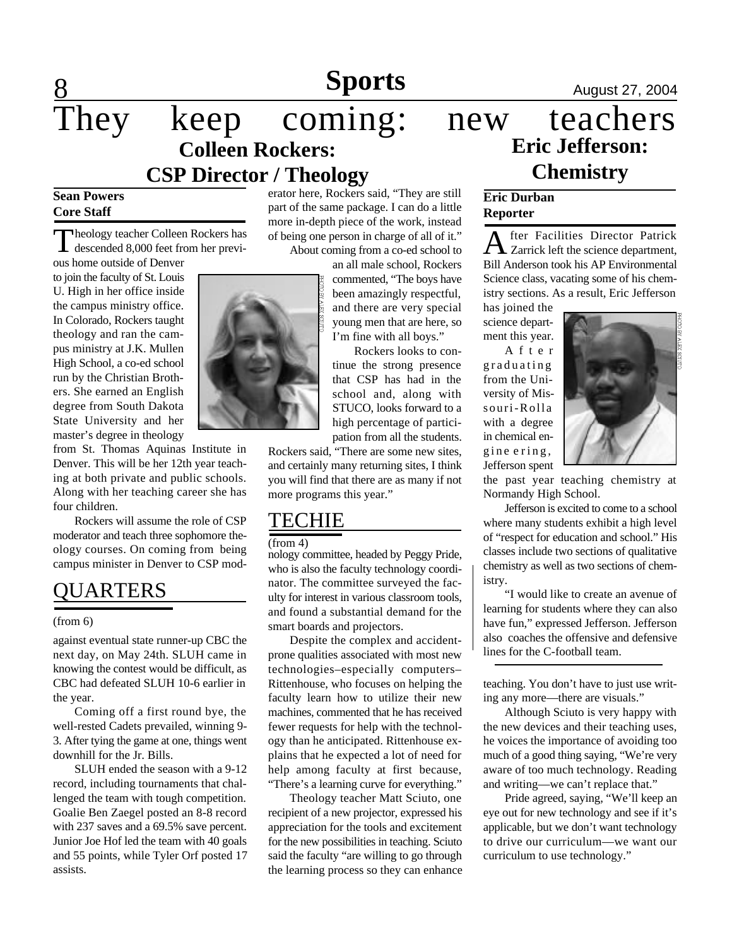**Sports August 27, 2004** 

## $\frac{8}{\text{They}}$ keep coming: new teachers **Colleen Rockers: CSP Director / Theology**

### **Sean Powers Core Staff**

Theology teacher Colleen Rockers has<br>descended 8,000 feet from her previdescended 8,000 feet from her previous home outside of Denver

to join the faculty of St. Louis U. High in her office inside the campus ministry office. In Colorado, Rockers taught theology and ran the campus ministry at J.K. Mullen High School, a co-ed school run by the Christian Brothers. She earned an English degree from South Dakota State University and her master's degree in theology

from St. Thomas Aquinas Institute in Denver. This will be her 12th year teaching at both private and public schools. Along with her teaching career she has four children.

Rockers will assume the role of CSP moderator and teach three sophomore theology courses. On coming from being campus minister in Denver to CSP mod-

### **OUARTERS**

#### (from 6)

against eventual state runner-up CBC the next day, on May 24th. SLUH came in knowing the contest would be difficult, as CBC had defeated SLUH 10-6 earlier in the year.

Coming off a first round bye, the well-rested Cadets prevailed, winning 9- 3. After tying the game at one, things went downhill for the Jr. Bills.

SLUH ended the season with a 9-12 record, including tournaments that challenged the team with tough competition. Goalie Ben Zaegel posted an 8-8 record with 237 saves and a 69.5% save percent. Junior Joe Hof led the team with 40 goals and 55 points, while Tyler Orf posted 17 assists.

erator here, Rockers said, "They are still part of the same package. I can do a little more in-depth piece of the work, instead of being one person in charge of all of it." About coming from a co-ed school to

> an all male school, Rockers commented, "The boys have been amazingly respectful, and there are very special young men that are here, so I'm fine with all boys."

Rockers looks to continue the strong presence that CSP has had in the school and, along with STUCO, looks forward to a high percentage of participation from all the students.

Rockers said, "There are some new sites, and certainly many returning sites, I think you will find that there are as many if not more programs this year."

### TECHIE

#### (from 4)

nology committee, headed by Peggy Pride, who is also the faculty technology coordinator. The committee surveyed the faculty for interest in various classroom tools, and found a substantial demand for the smart boards and projectors.

Despite the complex and accidentprone qualities associated with most new technologies–especially computers– Rittenhouse, who focuses on helping the faculty learn how to utilize their new machines, commented that he has received fewer requests for help with the technology than he anticipated. Rittenhouse explains that he expected a lot of need for help among faculty at first because, "There's a learning curve for everything."

Theology teacher Matt Sciuto, one recipient of a new projector, expressed his appreciation for the tools and excitement for the new possibilities in teaching. Sciuto said the faculty "are willing to go through the learning process so they can enhance

# **Eric Jefferson: Chemistry**

### **Eric Durban Reporter**

A fter Facilities Director Patrick<br>Zarrick left the science department, fter Facilities Director Patrick Bill Anderson took his AP Environmental Science class, vacating some of his chemistry sections. As a result, Eric Jefferson

has joined the science department this year.

A f t e r graduating from the University of Missouri-Rolla with a degree in chemical engine e ring, Jefferson spent



the past year teaching chemistry at Normandy High School.

Jefferson is excited to come to a school where many students exhibit a high level of "respect for education and school." His classes include two sections of qualitative chemistry as well as two sections of chemistry.

"I would like to create an avenue of learning for students where they can also have fun," expressed Jefferson. Jefferson also coaches the offensive and defensive lines for the C-football team.

teaching. You don't have to just use writing any more—there are visuals."

Although Sciuto is very happy with the new devices and their teaching uses, he voices the importance of avoiding too much of a good thing saying, "We're very aware of too much technology. Reading and writing—we can't replace that."

Pride agreed, saying, "We'll keep an eye out for new technology and see if it's applicable, but we don't want technology to drive our curriculum—we want our curriculum to use technology."

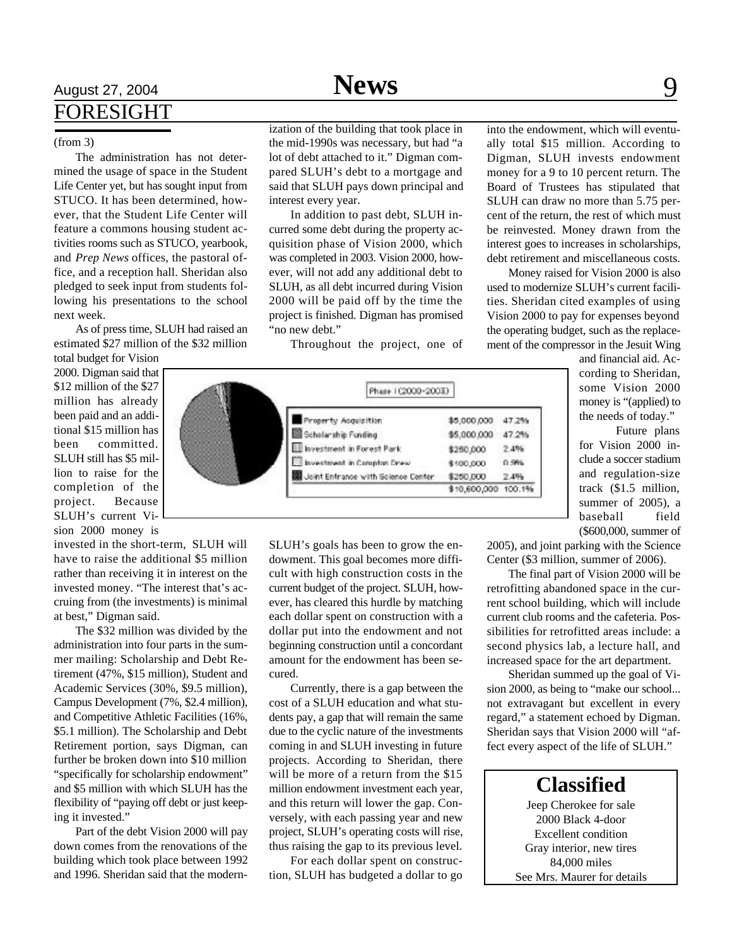## **News**

## August 27, 2004 **Sports Space Secure 27, 2004** Space 31, 2004 FORESIGHT

#### (from 3)

The administration has not determined the usage of space in the Student Life Center yet, but has sought input from STUCO. It has been determined, however, that the Student Life Center will feature a commons housing student activities rooms such as STUCO, yearbook, and *Prep News* offices, the pastoral office, and a reception hall. Sheridan also pledged to seek input from students following his presentations to the school next week.

As of press time, SLUH had raised an estimated \$27 million of the \$32 million

total budget for Vision 2000. Digman said that \$12 million of the \$27 million has already been paid and an additional \$15 million has been committed. SLUH still has \$5 million to raise for the completion of the project. Because SLUH's current Vision 2000 money is

invested in the short-term, SLUH will have to raise the additional \$5 million rather than receiving it in interest on the invested money. "The interest that's accruing from (the investments) is minimal at best," Digman said.

The \$32 million was divided by the administration into four parts in the summer mailing: Scholarship and Debt Retirement (47%, \$15 million), Student and Academic Services (30%, \$9.5 million), Campus Development (7%, \$2.4 million), and Competitive Athletic Facilities (16%, \$5.1 million). The Scholarship and Debt Retirement portion, says Digman, can further be broken down into \$10 million "specifically for scholarship endowment" and \$5 million with which SLUH has the flexibility of "paying off debt or just keeping it invested."

Part of the debt Vision 2000 will pay down comes from the renovations of the building which took place between 1992 and 1996. Sheridan said that the modernization of the building that took place in the mid-1990s was necessary, but had "a lot of debt attached to it." Digman compared SLUH's debt to a mortgage and said that SLUH pays down principal and interest every year.

In addition to past debt, SLUH incurred some debt during the property acquisition phase of Vision 2000, which was completed in 2003. Vision 2000, however, will not add any additional debt to SLUH, as all debt incurred during Vision 2000 will be paid off by the time the project is finished. Digman has promised "no new debt."

Throughout the project, one of



SLUH's goals has been to grow the endowment. This goal becomes more difficult with high construction costs in the current budget of the project. SLUH, however, has cleared this hurdle by matching each dollar spent on construction with a dollar put into the endowment and not beginning construction until a concordant amount for the endowment has been secured.

Currently, there is a gap between the cost of a SLUH education and what students pay, a gap that will remain the same due to the cyclic nature of the investments coming in and SLUH investing in future projects. According to Sheridan, there will be more of a return from the \$15 million endowment investment each year, and this return will lower the gap. Conversely, with each passing year and new project, SLUH's operating costs will rise, thus raising the gap to its previous level.

For each dollar spent on construction, SLUH has budgeted a dollar to go into the endowment, which will eventually total \$15 million. According to Digman, SLUH invests endowment money for a 9 to 10 percent return. The Board of Trustees has stipulated that SLUH can draw no more than 5.75 percent of the return, the rest of which must be reinvested. Money drawn from the interest goes to increases in scholarships, debt retirement and miscellaneous costs.

Money raised for Vision 2000 is also used to modernize SLUH's current facilities. Sheridan cited examples of using Vision 2000 to pay for expenses beyond the operating budget, such as the replacement of the compressor in the Jesuit Wing

> and financial aid. According to Sheridan, some Vision 2000 money is "(applied) to the needs of today."

Future plans for Vision 2000 include a soccer stadium and regulation-size track (\$1.5 million, summer of 2005), a baseball field (\$600,000, summer of

2005), and joint parking with the Science Center (\$3 million, summer of 2006).

The final part of Vision 2000 will be retrofitting abandoned space in the current school building, which will include current club rooms and the cafeteria. Possibilities for retrofitted areas include: a second physics lab, a lecture hall, and increased space for the art department.

Sheridan summed up the goal of Vision 2000, as being to "make our school... not extravagant but excellent in every regard," a statement echoed by Digman. Sheridan says that Vision 2000 will "affect every aspect of the life of SLUH."

### **Classified**

Jeep Cherokee for sale 2000 Black 4-door Excellent condition Gray interior, new tires 84,000 miles See Mrs. Maurer for details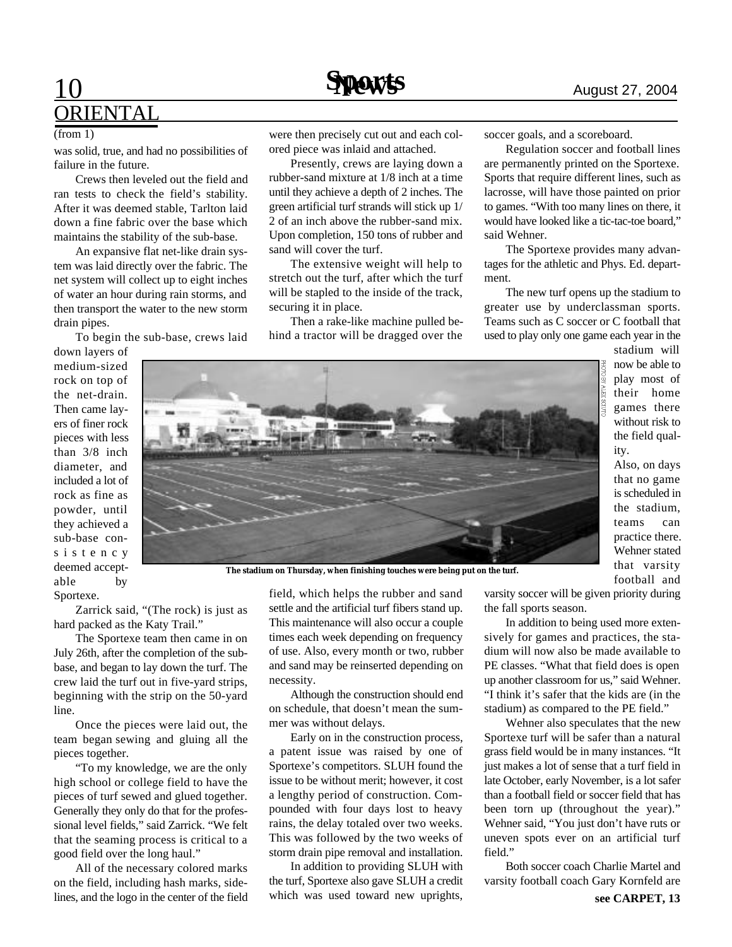

#### (from 1)

was solid, true, and had no possibilities of failure in the future.

Crews then leveled out the field and ran tests to check the field's stability. After it was deemed stable, Tarlton laid down a fine fabric over the base which maintains the stability of the sub-base.

An expansive flat net-like drain system was laid directly over the fabric. The net system will collect up to eight inches of water an hour during rain storms, and then transport the water to the new storm drain pipes.

To begin the sub-base, crews laid

down layers of medium-sized rock on top of the net-drain. Then came layers of finer rock pieces with less than 3/8 inch diameter, and included a lot of rock as fine as powder, until they achieved a sub-base cons i s t e n c y deemed acceptable by Sportexe.

were then precisely cut out and each colored piece was inlaid and attached.

Presently, crews are laying down a rubber-sand mixture at 1/8 inch at a time until they achieve a depth of 2 inches. The green artificial turf strands will stick up 1/ 2 of an inch above the rubber-sand mix. Upon completion, 150 tons of rubber and sand will cover the turf.

The extensive weight will help to stretch out the turf, after which the turf will be stapled to the inside of the track, securing it in place.

Then a rake-like machine pulled behind a tractor will be dragged over the soccer goals, and a scoreboard.

Regulation soccer and football lines are permanently printed on the Sportexe. Sports that require different lines, such as lacrosse, will have those painted on prior to games. "With too many lines on there, it would have looked like a tic-tac-toe board," said Wehner.

The Sportexe provides many advantages for the athletic and Phys. Ed. department.

The new turf opens up the stadium to greater use by underclassman sports. Teams such as C soccer or C football that used to play only one game each year in the stadium will

> now be able to play most of their home games there without risk to the field qual-

> Also, on days that no game is scheduled in the stadium, teams can practice there. Wehner stated that varsity football and

ity.



**The stadium on Thursday, when finishing touches were being put on the turf.**

Zarrick said, "(The rock) is just as hard packed as the Katy Trail."

The Sportexe team then came in on July 26th, after the completion of the subbase, and began to lay down the turf. The crew laid the turf out in five-yard strips, beginning with the strip on the 50-yard line.

Once the pieces were laid out, the team began sewing and gluing all the pieces together.

"To my knowledge, we are the only high school or college field to have the pieces of turf sewed and glued together. Generally they only do that for the professional level fields," said Zarrick. "We felt that the seaming process is critical to a good field over the long haul."

All of the necessary colored marks on the field, including hash marks, sidelines, and the logo in the center of the field field, which helps the rubber and sand settle and the artificial turf fibers stand up. This maintenance will also occur a couple times each week depending on frequency of use. Also, every month or two, rubber and sand may be reinserted depending on necessity.

Although the construction should end on schedule, that doesn't mean the summer was without delays.

Early on in the construction process, a patent issue was raised by one of Sportexe's competitors. SLUH found the issue to be without merit; however, it cost a lengthy period of construction. Compounded with four days lost to heavy rains, the delay totaled over two weeks. This was followed by the two weeks of storm drain pipe removal and installation.

In addition to providing SLUH with the turf, Sportexe also gave SLUH a credit which was used toward new uprights,

varsity soccer will be given priority during the fall sports season.

In addition to being used more extensively for games and practices, the stadium will now also be made available to PE classes. "What that field does is open up another classroom for us," said Wehner. "I think it's safer that the kids are (in the stadium) as compared to the PE field."

Wehner also speculates that the new Sportexe turf will be safer than a natural grass field would be in many instances. "It just makes a lot of sense that a turf field in late October, early November, is a lot safer than a football field or soccer field that has been torn up (throughout the year)." Wehner said, "You just don't have ruts or uneven spots ever on an artificial turf field."

Both soccer coach Charlie Martel and varsity football coach Gary Kornfeld are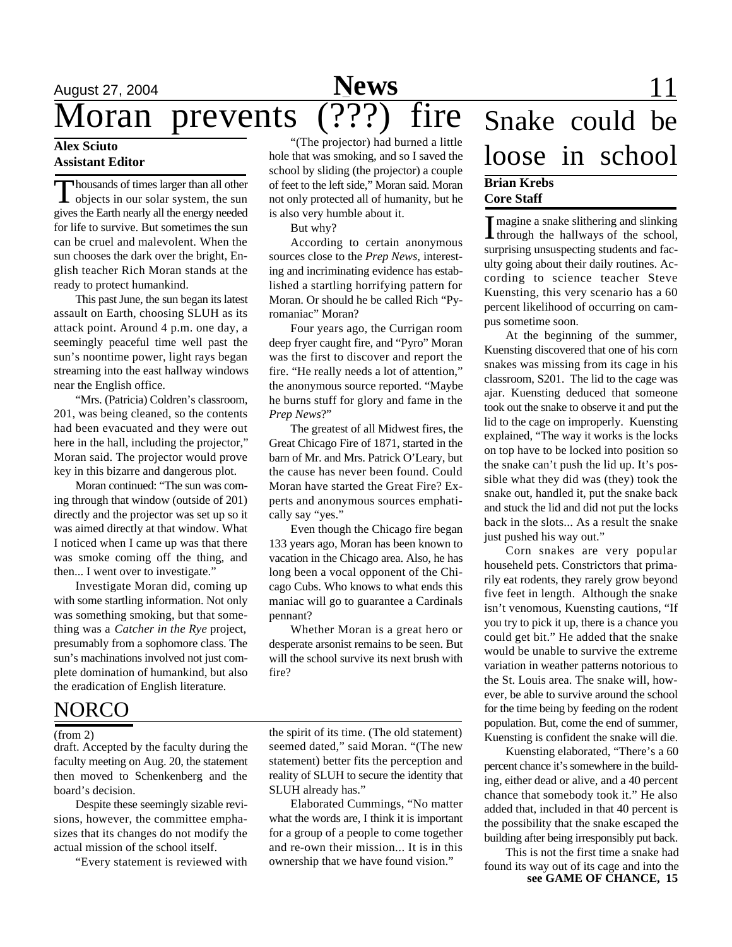## August 27, 2004 **Sports News** 11 Moran prevents (???) fire Snake could be

### **Alex Sciuto Assistant Editor**

Thousands of times larger than all other<br>objects in our solar system, the sun housands of times larger than all other gives the Earth nearly all the energy needed for life to survive. But sometimes the sun can be cruel and malevolent. When the sun chooses the dark over the bright, English teacher Rich Moran stands at the ready to protect humankind.

This past June, the sun began its latest assault on Earth, choosing SLUH as its attack point. Around 4 p.m. one day, a seemingly peaceful time well past the sun's noontime power, light rays began streaming into the east hallway windows near the English office.

"Mrs. (Patricia) Coldren's classroom, 201, was being cleaned, so the contents had been evacuated and they were out here in the hall, including the projector," Moran said. The projector would prove key in this bizarre and dangerous plot.

Moran continued: "The sun was coming through that window (outside of 201) directly and the projector was set up so it was aimed directly at that window. What I noticed when I came up was that there was smoke coming off the thing, and then... I went over to investigate."

Investigate Moran did, coming up with some startling information. Not only was something smoking, but that something was a *Catcher in the Rye* project, presumably from a sophomore class. The sun's machinations involved not just complete domination of humankind, but also the eradication of English literature.

### NORCO

#### (from 2)

draft. Accepted by the faculty during the faculty meeting on Aug. 20, the statement then moved to Schenkenberg and the board's decision.

Despite these seemingly sizable revisions, however, the committee emphasizes that its changes do not modify the actual mission of the school itself.

"Every statement is reviewed with

"(The projector) had burned a little hole that was smoking, and so I saved the school by sliding (the projector) a couple of feet to the left side," Moran said. Moran not only protected all of humanity, but he is also very humble about it.

But why?

According to certain anonymous sources close to the *Prep News,* interesting and incriminating evidence has established a startling horrifying pattern for Moran. Or should he be called Rich "Pyromaniac" Moran?

Four years ago, the Currigan room deep fryer caught fire, and "Pyro" Moran was the first to discover and report the fire. "He really needs a lot of attention," the anonymous source reported. "Maybe he burns stuff for glory and fame in the *Prep News*?"

The greatest of all Midwest fires, the Great Chicago Fire of 1871, started in the barn of Mr. and Mrs. Patrick O'Leary, but the cause has never been found. Could Moran have started the Great Fire? Experts and anonymous sources emphatically say "yes."

Even though the Chicago fire began 133 years ago, Moran has been known to vacation in the Chicago area. Also, he has long been a vocal opponent of the Chicago Cubs. Who knows to what ends this maniac will go to guarantee a Cardinals pennant?

Whether Moran is a great hero or desperate arsonist remains to be seen. But will the school survive its next brush with fire?

the spirit of its time. (The old statement) seemed dated," said Moran. "(The new statement) better fits the perception and reality of SLUH to secure the identity that SLUH already has."

Elaborated Cummings, "No matter what the words are, I think it is important for a group of a people to come together and re-own their mission... It is in this ownership that we have found vision."

## loose in school **Brian Krebs Core Staff**

I magine a snake slithering and slinking<br>through the hallways of the school, **T** magine a snake slithering and slinking surprising unsuspecting students and faculty going about their daily routines. According to science teacher Steve Kuensting, this very scenario has a 60 percent likelihood of occurring on campus sometime soon.

At the beginning of the summer, Kuensting discovered that one of his corn snakes was missing from its cage in his classroom, S201. The lid to the cage was ajar. Kuensting deduced that someone took out the snake to observe it and put the lid to the cage on improperly. Kuensting explained, "The way it works is the locks on top have to be locked into position so the snake can't push the lid up. It's possible what they did was (they) took the snake out, handled it, put the snake back and stuck the lid and did not put the locks back in the slots... As a result the snake just pushed his way out."

Corn snakes are very popular househeld pets. Constrictors that primarily eat rodents, they rarely grow beyond five feet in length. Although the snake isn't venomous, Kuensting cautions, "If you try to pick it up, there is a chance you could get bit." He added that the snake would be unable to survive the extreme variation in weather patterns notorious to the St. Louis area. The snake will, however, be able to survive around the school for the time being by feeding on the rodent population. But, come the end of summer, Kuensting is confident the snake will die.

Kuensting elaborated, "There's a 60 percent chance it's somewhere in the building, either dead or alive, and a 40 percent chance that somebody took it." He also added that, included in that 40 percent is the possibility that the snake escaped the building after being irresponsibly put back.

This is not the first time a snake had found its way out of its cage and into the **see GAME OF CHANCE, 15**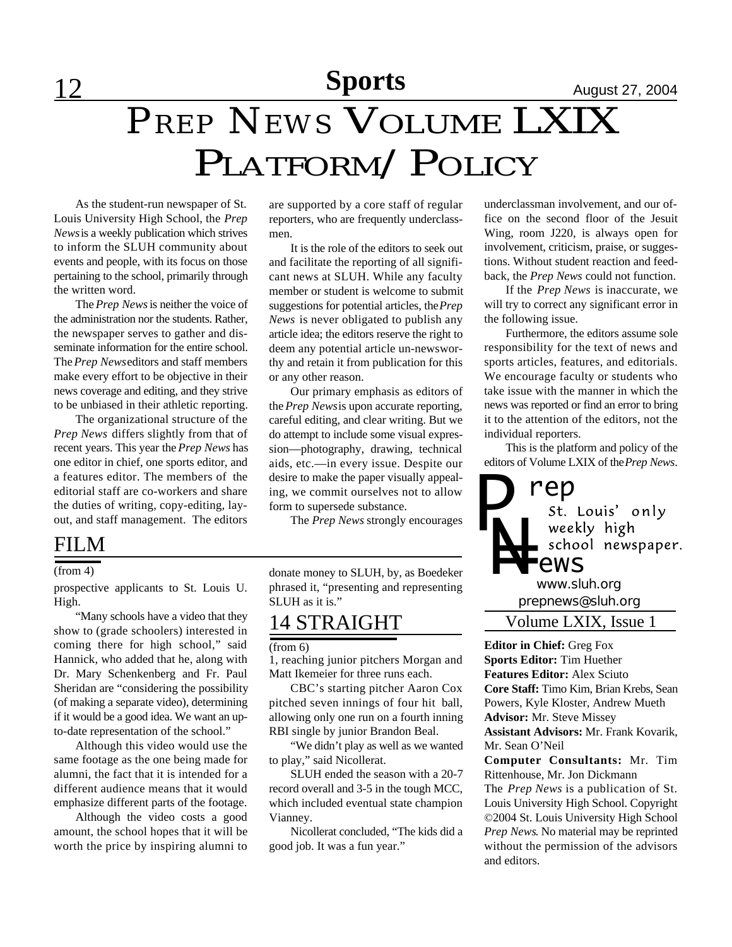# *PREP NEWS* VOLUME LXIX PLATFORM/POLICY

As the student-run newspaper of St. Louis University High School, the *Prep News* is a weekly publication which strives to inform the SLUH community about events and people, with its focus on those pertaining to the school, primarily through the written word.

The *Prep News* is neither the voice of the administration nor the students. Rather, the newspaper serves to gather and disseminate information for the entire school. The *Prep News* editors and staff members make every effort to be objective in their news coverage and editing, and they strive to be unbiased in their athletic reporting.

The organizational structure of the *Prep News* differs slightly from that of recent years. This year the *Prep News* has one editor in chief, one sports editor, and a features editor. The members of the editorial staff are co-workers and share the duties of writing, copy-editing, layout, and staff management. The editors

### FILM

#### (from 4)

prospective applicants to St. Louis U. High.

"Many schools have a video that they show to (grade schoolers) interested in coming there for high school," said Hannick, who added that he, along with Dr. Mary Schenkenberg and Fr. Paul Sheridan are "considering the possibility (of making a separate video), determining if it would be a good idea. We want an upto-date representation of the school."

Although this video would use the same footage as the one being made for alumni, the fact that it is intended for a different audience means that it would emphasize different parts of the footage.

Although the video costs a good amount, the school hopes that it will be worth the price by inspiring alumni to

are supported by a core staff of regular reporters, who are frequently underclassmen.

It is the role of the editors to seek out and facilitate the reporting of all significant news at SLUH. While any faculty member or student is welcome to submit suggestions for potential articles, the *Prep News* is never obligated to publish any article idea; the editors reserve the right to deem any potential article un-newsworthy and retain it from publication for this or any other reason.

Our primary emphasis as editors of the *Prep News* is upon accurate reporting, careful editing, and clear writing. But we do attempt to include some visual expression—photography, drawing, technical aids, etc.—in every issue. Despite our desire to make the paper visually appealing, we commit ourselves not to allow form to supersede substance.

The *Prep News* strongly encourages

donate money to SLUH, by, as Boedeker phrased it, "presenting and representing SLUH as it is."

### 14 STRAIGHT

### (from 6)

1, reaching junior pitchers Morgan and Matt Ikemeier for three runs each.

CBC's starting pitcher Aaron Cox pitched seven innings of four hit ball, allowing only one run on a fourth inning RBI single by junior Brandon Beal.

"We didn't play as well as we wanted to play," said Nicollerat.

SLUH ended the season with a 20-7 record overall and 3-5 in the tough MCC, which included eventual state champion Vianney.

Nicollerat concluded, "The kids did a good job. It was a fun year."

underclassman involvement, and our office on the second floor of the Jesuit Wing, room J220, is always open for involvement, criticism, praise, or suggestions. Without student reaction and feedback, the *Prep News* could not function.

If the *Prep News* is inaccurate, we will try to correct any significant error in the following issue.

Furthermore, the editors assume sole responsibility for the text of news and sports articles, features, and editorials. We encourage faculty or students who take issue with the manner in which the news was reported or find an error to bring it to the attention of the editors, not the individual reporters.

This is the platform and policy of the editors of Volume LXIX of the *Prep News*.



**Editor in Chief:** Greg Fox **Sports Editor:** Tim Huether **Features Editor:** Alex Sciuto **Core Staff:** Timo Kim, Brian Krebs, Sean Powers, Kyle Kloster, Andrew Mueth **Advisor:** Mr. Steve Missey **Assistant Advisors:** Mr. Frank Kovarik, Mr. Sean O'Neil

**Computer Consultants:** Mr. Tim Rittenhouse, Mr. Jon Dickmann The *Prep News* is a publication of St. Louis University High School. Copyright ©2004 St. Louis University High School *Prep News*. No material may be reprinted without the permission of the advisors and editors.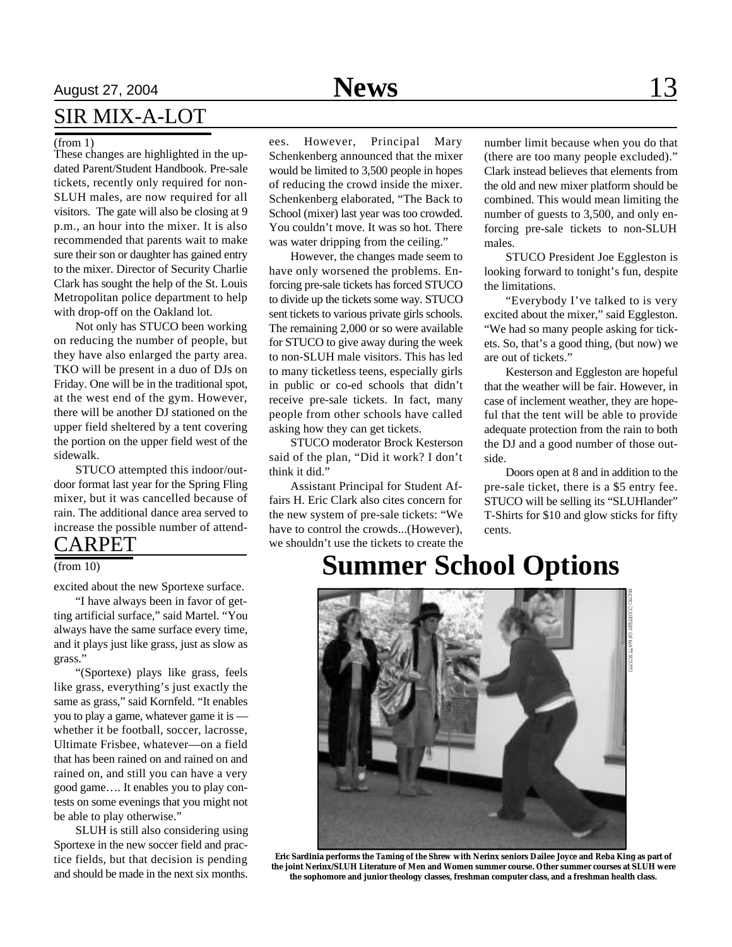### SIR MIX-A-LOT

#### (from 1)

These changes are highlighted in the updated Parent/Student Handbook. Pre-sale tickets, recently only required for non-SLUH males, are now required for all visitors. The gate will also be closing at 9 p.m., an hour into the mixer. It is also recommended that parents wait to make sure their son or daughter has gained entry to the mixer. Director of Security Charlie Clark has sought the help of the St. Louis Metropolitan police department to help with drop-off on the Oakland lot.

Not only has STUCO been working on reducing the number of people, but they have also enlarged the party area. TKO will be present in a duo of DJs on Friday. One will be in the traditional spot, at the west end of the gym. However, there will be another DJ stationed on the upper field sheltered by a tent covering the portion on the upper field west of the sidewalk.

STUCO attempted this indoor/outdoor format last year for the Spring Fling mixer, but it was cancelled because of rain. The additional dance area served to increase the possible number of attend-

### CARPET

### (from 10)

excited about the new Sportexe surface.

"I have always been in favor of getting artificial surface," said Martel. "You always have the same surface every time, and it plays just like grass, just as slow as grass."

"(Sportexe) plays like grass, feels like grass, everything's just exactly the same as grass," said Kornfeld. "It enables you to play a game, whatever game it is whether it be football, soccer, lacrosse, Ultimate Frisbee, whatever—on a field that has been rained on and rained on and rained on, and still you can have a very good game…. It enables you to play contests on some evenings that you might not be able to play otherwise."

SLUH is still also considering using Sportexe in the new soccer field and practice fields, but that decision is pending and should be made in the next six months.

ees. However, Principal Mary Schenkenberg announced that the mixer would be limited to 3,500 people in hopes of reducing the crowd inside the mixer. Schenkenberg elaborated, "The Back to School (mixer) last year was too crowded. You couldn't move. It was so hot. There was water dripping from the ceiling."

However, the changes made seem to have only worsened the problems. Enforcing pre-sale tickets has forced STUCO to divide up the tickets some way. STUCO sent tickets to various private girls schools. The remaining 2,000 or so were available for STUCO to give away during the week to non-SLUH male visitors. This has led to many ticketless teens, especially girls in public or co-ed schools that didn't receive pre-sale tickets. In fact, many people from other schools have called asking how they can get tickets.

STUCO moderator Brock Kesterson said of the plan, "Did it work? I don't think it did."

Assistant Principal for Student Affairs H. Eric Clark also cites concern for the new system of pre-sale tickets: "We have to control the crowds...(However), we shouldn't use the tickets to create the

number limit because when you do that (there are too many people excluded)." Clark instead believes that elements from the old and new mixer platform should be combined. This would mean limiting the number of guests to 3,500, and only enforcing pre-sale tickets to non-SLUH males.

STUCO President Joe Eggleston is looking forward to tonight's fun, despite the limitations.

"Everybody I've talked to is very excited about the mixer," said Eggleston. "We had so many people asking for tickets. So, that's a good thing, (but now) we are out of tickets."

Kesterson and Eggleston are hopeful that the weather will be fair. However, in case of inclement weather, they are hopeful that the tent will be able to provide adequate protection from the rain to both the DJ and a good number of those outside.

Doors open at 8 and in addition to the pre-sale ticket, there is a \$5 entry fee. STUCO will be selling its "SLUHlander" T-Shirts for \$10 and glow sticks for fifty cents.

## **Summer School Options**



**Eric Sardinia performs the** *Taming of the Shrew* **with Nerinx seniors Dailee Joyce and Reba King as part of the joint Nerinx/SLUH Literature of Men and Women summer course. Other summer courses at SLUH were the sophomore and junior theology classes, freshman computer class, and a freshman health class.**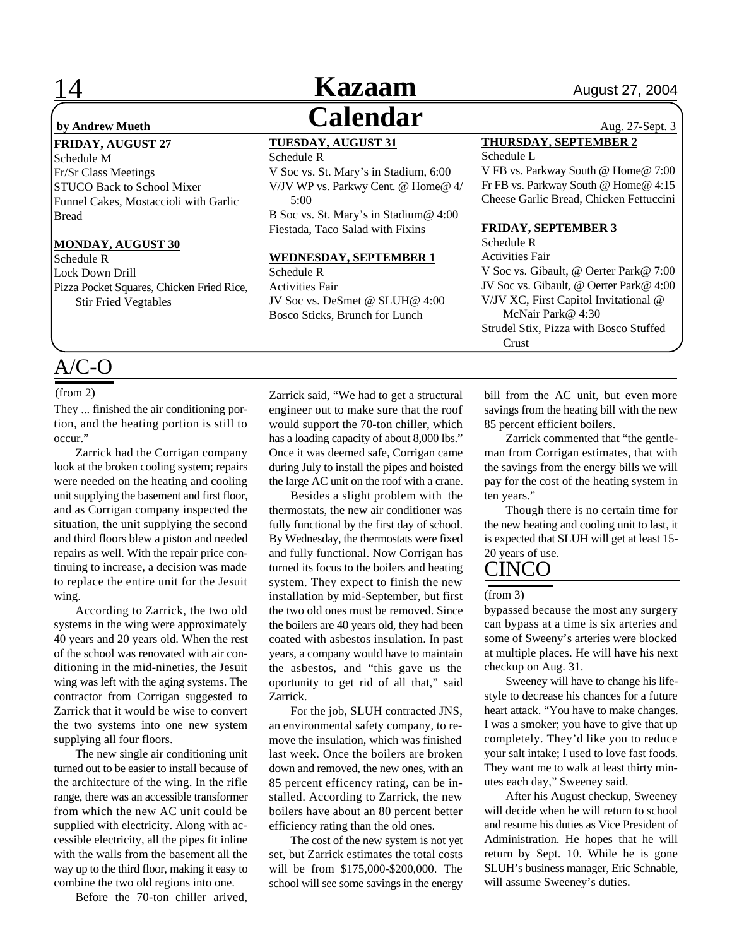#### **FRIDAY, AUGUST 27**

Schedule M Fr/Sr Class Meetings STUCO Back to School Mixer Funnel Cakes, Mostaccioli with Garlic Bread

### **MONDAY, AUGUST 30**

Schedule R Lock Down Drill Pizza Pocket Squares, Chicken Fried Rice, Stir Fried Vegtables

### A/C-O

#### (from 2)

They ... finished the air conditioning portion, and the heating portion is still to occur."

Zarrick had the Corrigan company look at the broken cooling system; repairs were needed on the heating and cooling unit supplying the basement and first floor, and as Corrigan company inspected the situation, the unit supplying the second and third floors blew a piston and needed repairs as well. With the repair price continuing to increase, a decision was made to replace the entire unit for the Jesuit wing.

According to Zarrick, the two old systems in the wing were approximately 40 years and 20 years old. When the rest of the school was renovated with air conditioning in the mid-nineties, the Jesuit wing was left with the aging systems. The contractor from Corrigan suggested to Zarrick that it would be wise to convert the two systems into one new system supplying all four floors.

The new single air conditioning unit turned out to be easier to install because of the architecture of the wing. In the rifle range, there was an accessible transformer from which the new AC unit could be supplied with electricity. Along with accessible electricity, all the pipes fit inline with the walls from the basement all the way up to the third floor, making it easy to combine the two old regions into one.

Before the 70-ton chiller arived,

## **Kazaam August 27, 2004 by Andrew Mueth Calendar** Aug. 27-Sept. 3

### **TUESDAY, AUGUST 31**

Schedule R V Soc vs. St. Mary's in Stadium, 6:00 V/JV WP vs. Parkwy Cent. @ Home@ 4/ 5:00 B Soc vs. St. Mary's in Stadium@ 4:00 Fiestada, Taco Salad with Fixins

### **WEDNESDAY, SEPTEMBER 1**

Schedule R Activities Fair JV Soc vs. DeSmet @ SLUH@ 4:00 Bosco Sticks, Brunch for Lunch

#### **THURSDAY, SEPTEMBER 2** Schedule L

V FB vs. Parkway South @ Home@ 7:00 Fr FB vs. Parkway South @ Home@ 4:15 Cheese Garlic Bread, Chicken Fettuccini

#### **FRIDAY, SEPTEMBER 3**

Schedule R Activities Fair V Soc vs. Gibault, @ Oerter Park@ 7:00 JV Soc vs. Gibault, @ Oerter Park@ 4:00 V/JV XC, First Capitol Invitational @ McNair Park@ 4:30 Strudel Stix, Pizza with Bosco Stuffed Crust

Zarrick said, "We had to get a structural engineer out to make sure that the roof would support the 70-ton chiller, which has a loading capacity of about 8,000 lbs." Once it was deemed safe, Corrigan came during July to install the pipes and hoisted the large AC unit on the roof with a crane.

Besides a slight problem with the thermostats, the new air conditioner was fully functional by the first day of school. By Wednesday, the thermostats were fixed and fully functional. Now Corrigan has turned its focus to the boilers and heating system. They expect to finish the new installation by mid-September, but first the two old ones must be removed. Since the boilers are 40 years old, they had been coated with asbestos insulation. In past years, a company would have to maintain the asbestos, and "this gave us the oportunity to get rid of all that," said Zarrick.

For the job, SLUH contracted JNS, an environmental safety company, to remove the insulation, which was finished last week. Once the boilers are broken down and removed, the new ones, with an 85 percent efficency rating, can be installed. According to Zarrick, the new boilers have about an 80 percent better efficiency rating than the old ones.

The cost of the new system is not yet set, but Zarrick estimates the total costs will be from \$175,000-\$200,000. The school will see some savings in the energy

bill from the AC unit, but even more savings from the heating bill with the new 85 percent efficient boilers.

Zarrick commented that "the gentleman from Corrigan estimates, that with the savings from the energy bills we will pay for the cost of the heating system in ten years."

Though there is no certain time for the new heating and cooling unit to last, it is expected that SLUH will get at least 15- 20 years of use.

### CINCO

#### (from 3)

bypassed because the most any surgery can bypass at a time is six arteries and some of Sweeny's arteries were blocked at multiple places. He will have his next checkup on Aug. 31.

Sweeney will have to change his lifestyle to decrease his chances for a future heart attack. "You have to make changes. I was a smoker; you have to give that up completely. They'd like you to reduce your salt intake; I used to love fast foods. They want me to walk at least thirty minutes each day," Sweeney said.

After his August checkup, Sweeney will decide when he will return to school and resume his duties as Vice President of Administration. He hopes that he will return by Sept. 10. While he is gone SLUH's business manager, Eric Schnable, will assume Sweeney's duties.